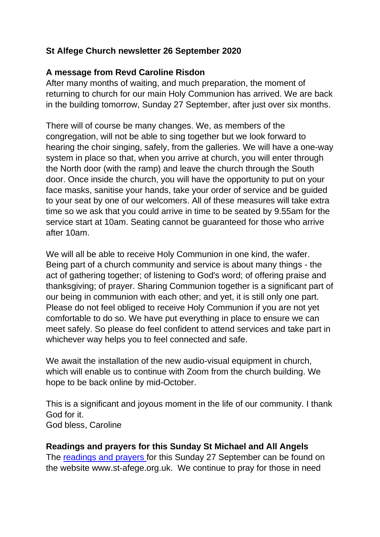# **St Alfege Church newsletter 26 September 2020**

## **A message from Revd Caroline Risdon**

After many months of waiting, and much preparation, the moment of returning to church for our main Holy Communion has arrived. We are back in the building tomorrow, Sunday 27 September, after just over six months.

There will of course be many changes. We, as members of the congregation, will not be able to sing together but we look forward to hearing the choir singing, safely, from the galleries. We will have a one-way system in place so that, when you arrive at church, you will enter through the North door (with the ramp) and leave the church through the South door. Once inside the church, you will have the opportunity to put on your face masks, sanitise your hands, take your order of service and be guided to your seat by one of our welcomers. All of these measures will take extra time so we ask that you could arrive in time to be seated by 9.55am for the service start at 10am. Seating cannot be guaranteed for those who arrive after 10am.

We will all be able to receive Holy Communion in one kind, the wafer. Being part of a church community and service is about many things - the act of gathering together; of listening to God's word; of offering praise and thanksgiving; of prayer. Sharing Communion together is a significant part of our being in communion with each other; and yet, it is still only one part. Please do not feel obliged to receive Holy Communion if you are not yet comfortable to do so. We have put everything in place to ensure we can meet safely. So please do feel confident to attend services and take part in whichever way helps you to feel connected and safe.

We await the installation of the new audio-visual equipment in church, which will enable us to continue with Zoom from the church building. We hope to be back online by mid-October.

This is a significant and joyous moment in the life of our community. I thank God for it. God bless, Caroline

## **Readings and prayers for this Sunday St Michael and All Angels**

The [readings and prayers](https://www.st-alfege.org.uk/Articles/517136/Readings_and_Prayers_this.aspx) for this Sunday 27 September can be found on the website www.st-afege.org.uk. We continue to pray for those in need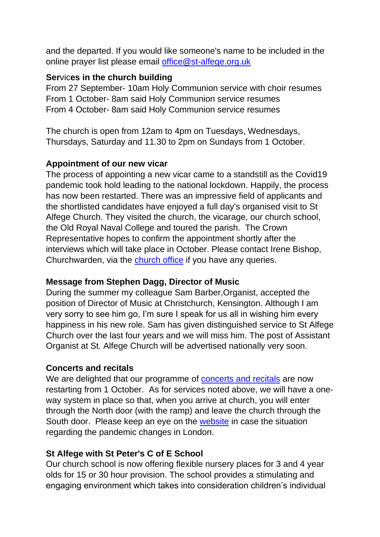and the departed. If you would like someone's name to be included in the online prayer list please email [office@st-alfege.org.uk](mailto:office@st-alfege.org.uk)

#### **Ser**vic**es in the church building**

From 27 September- 10am Holy Communion service with choir resumes From 1 October- 8am said Holy Communion service resumes From 4 October- 8am said Holy Communion service resumes

The church is open from 12am to 4pm on Tuesdays, Wednesdays, Thursdays, Saturday and 11.30 to 2pm on Sundays from 1 October.

## **Appointment of our new vicar**

The process of appointing a new vicar came to a standstill as the Covid19 pandemic took hold leading to the national lockdown. Happily, the process has now been restarted. There was an impressive field of applicants and the shortlisted candidates have enjoyed a full day's organised visit to St Alfege Church. They visited the church, the vicarage, our church school, the Old Royal Naval College and toured the parish. The Crown Representative hopes to confirm the appointment shortly after the interviews which will take place in October. Please contact Irene Bishop, Churchwarden, via the [church office](mailto:office@st-alfege.org.uk) if you have any queries.

## **Message from Stephen Dagg, Director of Music**

During the summer my colleague Sam Barber,Organist, accepted the position of Director of Music at Christchurch, Kensington. Although I am very sorry to see him go, I'm sure I speak for us all in wishing him every happiness in his new role. Sam has given distinguished service to St Alfege Church over the last four years and we will miss him. The post of Assistant Organist at St. Alfege Church will be advertised nationally very soon.

## **Concerts and recitals**

We are delighted that our programme of [concerts and recitals](http://www.st-alfege.org.uk/Groups/299337/Concerts_and_recitals.aspx) are now restarting from 1 October. As for services noted above, we will have a oneway system in place so that, when you arrive at church, you will enter through the North door (with the ramp) and leave the church through the South door. Please keep an eye on the [website](https://www.st-alfege.org.uk/Groups/296022/_St_Alfege_Church.aspx) in case the situation regarding the pandemic changes in London.

## **St Alfege with St Peter's C of E School**

Our church school is now offering flexible nursery places for 3 and 4 year olds for 15 or 30 hour provision. The school provides a stimulating and engaging environment which takes into consideration children's individual